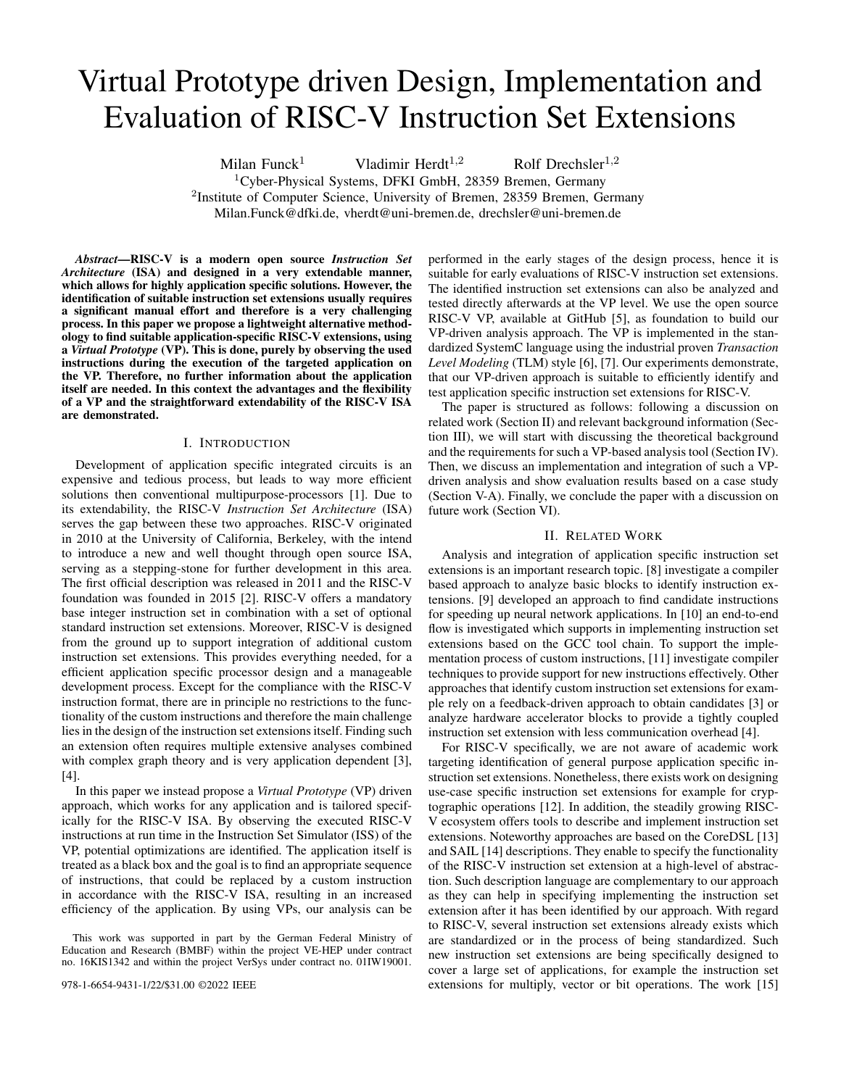# Virtual Prototype driven Design, Implementation and Evaluation of RISC-V Instruction Set Extensions

Milan Funck<sup>1</sup> Vladimir Herdt<sup>1,2</sup> Rolf Drechsler<sup>1,2</sup>  ${}^{1}$ Cyber-Physical Systems, DFKI GmbH, 28359 Bremen, Germany <sup>2</sup>Institute of Computer Science, University of Bremen, 28359 Bremen, Germany Milan.Funck@dfki.de, vherdt@uni-bremen.de, drechsler@uni-bremen.de

*Abstract*—RISC-V is a modern open source *Instruction Set Architecture* (ISA) and designed in a very extendable manner, which allows for highly application specific solutions. However, the identification of suitable instruction set extensions usually requires a significant manual effort and therefore is a very challenging process. In this paper we propose a lightweight alternative methodology to find suitable application-specific RISC-V extensions, using a *Virtual Prototype* (VP). This is done, purely by observing the used instructions during the execution of the targeted application on the VP. Therefore, no further information about the application itself are needed. In this context the advantages and the flexibility of a VP and the straightforward extendability of the RISC-V ISA are demonstrated.

## I. INTRODUCTION

Development of application specific integrated circuits is an expensive and tedious process, but leads to way more efficient solutions then conventional multipurpose-processors [1]. Due to its extendability, the RISC-V *Instruction Set Architecture* (ISA) serves the gap between these two approaches. RISC-V originated in 2010 at the University of California, Berkeley, with the intend to introduce a new and well thought through open source ISA, serving as a stepping-stone for further development in this area. The first official description was released in 2011 and the RISC-V foundation was founded in 2015 [2]. RISC-V offers a mandatory base integer instruction set in combination with a set of optional standard instruction set extensions. Moreover, RISC-V is designed from the ground up to support integration of additional custom instruction set extensions. This provides everything needed, for a efficient application specific processor design and a manageable development process. Except for the compliance with the RISC-V instruction format, there are in principle no restrictions to the functionality of the custom instructions and therefore the main challenge lies in the design of the instruction set extensions itself. Finding such an extension often requires multiple extensive analyses combined with complex graph theory and is very application dependent [3], [4].

In this paper we instead propose a *Virtual Prototype* (VP) driven approach, which works for any application and is tailored specifically for the RISC-V ISA. By observing the executed RISC-V instructions at run time in the Instruction Set Simulator (ISS) of the VP, potential optimizations are identified. The application itself is treated as a black box and the goal is to find an appropriate sequence of instructions, that could be replaced by a custom instruction in accordance with the RISC-V ISA, resulting in an increased efficiency of the application. By using VPs, our analysis can be performed in the early stages of the design process, hence it is suitable for early evaluations of RISC-V instruction set extensions. The identified instruction set extensions can also be analyzed and tested directly afterwards at the VP level. We use the open source RISC-V VP, available at GitHub [5], as foundation to build our VP-driven analysis approach. The VP is implemented in the standardized SystemC language using the industrial proven *Transaction Level Modeling* (TLM) style [6], [7]. Our experiments demonstrate, that our VP-driven approach is suitable to efficiently identify and test application specific instruction set extensions for RISC-V.

The paper is structured as follows: following a discussion on related work (Section II) and relevant background information (Section III), we will start with discussing the theoretical background and the requirements for such a VP-based analysis tool (Section IV). Then, we discuss an implementation and integration of such a VPdriven analysis and show evaluation results based on a case study (Section V-A). Finally, we conclude the paper with a discussion on future work (Section VI).

## II. RELATED WORK

Analysis and integration of application specific instruction set extensions is an important research topic. [8] investigate a compiler based approach to analyze basic blocks to identify instruction extensions. [9] developed an approach to find candidate instructions for speeding up neural network applications. In [10] an end-to-end flow is investigated which supports in implementing instruction set extensions based on the GCC tool chain. To support the implementation process of custom instructions, [11] investigate compiler techniques to provide support for new instructions effectively. Other approaches that identify custom instruction set extensions for example rely on a feedback-driven approach to obtain candidates [3] or analyze hardware accelerator blocks to provide a tightly coupled instruction set extension with less communication overhead [4].

For RISC-V specifically, we are not aware of academic work targeting identification of general purpose application specific instruction set extensions. Nonetheless, there exists work on designing use-case specific instruction set extensions for example for cryptographic operations [12]. In addition, the steadily growing RISC-V ecosystem offers tools to describe and implement instruction set extensions. Noteworthy approaches are based on the CoreDSL [13] and SAIL [14] descriptions. They enable to specify the functionality of the RISC-V instruction set extension at a high-level of abstraction. Such description language are complementary to our approach as they can help in specifying implementing the instruction set extension after it has been identified by our approach. With regard to RISC-V, several instruction set extensions already exists which are standardized or in the process of being standardized. Such new instruction set extensions are being specifically designed to cover a large set of applications, for example the instruction set extensions for multiply, vector or bit operations. The work [15]

This work was supported in part by the German Federal Ministry of Education and Research (BMBF) within the project VE-HEP under contract no. 16KIS1342 and within the project VerSys under contract no. 01IW19001.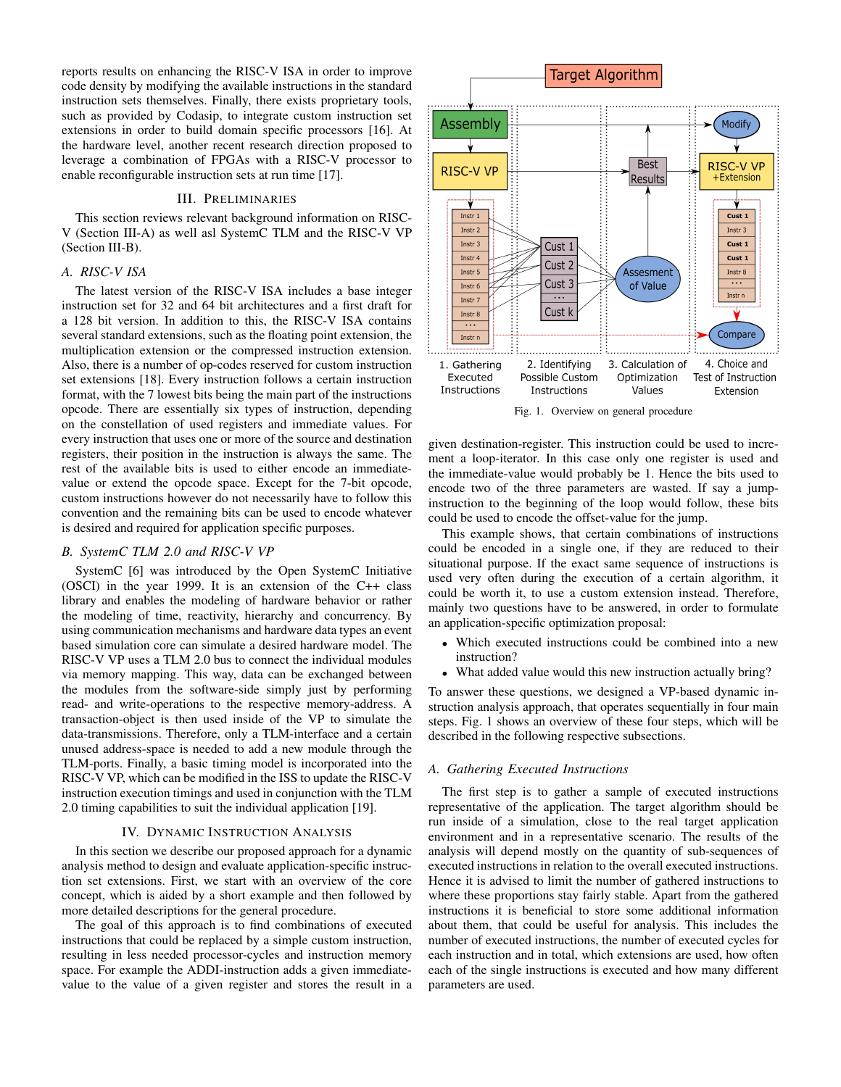reports results on enhancing the RISC-V ISA in order to improve code density by modifying the available instructions in the standard instruction sets themselves. Finally, there exists proprietary tools, such as provided by Codasip, to integrate custom instruction set extensions in order to build domain specific processors [16]. At the hardware level, another recent research direction proposed to leverage a combination of FPGAs with a RISC-V processor to enable reconfigurable instruction sets at run time [17].

## III. PRELIMINARIES

This section reviews relevant background information on RISC-V (Section III-A) as well asl SystemC TLM and the RISC-V VP (Section III-B).

## *A. RISC-V ISA*

The latest version of the RISC-V ISA includes a base integer instruction set for 32 and 64 bit architectures and a first draft for a 128 bit version. In addition to this, the RISC-V ISA contains several standard extensions, such as the floating point extension, the multiplication extension or the compressed instruction extension. Also, there is a number of op-codes reserved for custom instruction set extensions [18]. Every instruction follows a certain instruction format, with the 7 lowest bits being the main part of the instructions opcode. There are essentially six types of instruction, depending on the constellation of used registers and immediate values. For every instruction that uses one or more of the source and destination registers, their position in the instruction is always the same. The rest of the available bits is used to either encode an immediatevalue or extend the opcode space. Except for the 7-bit opcode, custom instructions however do not necessarily have to follow this convention and the remaining bits can be used to encode whatever is desired and required for application specific purposes.

## *B. SystemC TLM 2.0 and RISC-V VP*

SystemC [6] was introduced by the Open SystemC Initiative (OSCI) in the year 1999. It is an extension of the C++ class library and enables the modeling of hardware behavior or rather the modeling of time, reactivity, hierarchy and concurrency. By using communication mechanisms and hardware data types an event based simulation core can simulate a desired hardware model. The RISC-V VP uses a TLM 2.0 bus to connect the individual modules via memory mapping. This way, data can be exchanged between the modules from the software-side simply just by performing read- and write-operations to the respective memory-address. A transaction-object is then used inside of the VP to simulate the data-transmissions. Therefore, only a TLM-interface and a certain unused address-space is needed to add a new module through the TLM-ports. Finally, a basic timing model is incorporated into the RISC-V VP, which can be modified in the ISS to update the RISC-V instruction execution timings and used in conjunction with the TLM 2.0 timing capabilities to suit the individual application [19].

#### IV. DYNAMIC INSTRUCTION ANALYSIS

In this section we describe our proposed approach for a dynamic analysis method to design and evaluate application-specific instruction set extensions. First, we start with an overview of the core concept, which is aided by a short example and then followed by more detailed descriptions for the general procedure.

The goal of this approach is to find combinations of executed instructions that could be replaced by a simple custom instruction, resulting in less needed processor-cycles and instruction memory space. For example the ADDI-instruction adds a given immediatevalue to the value of a given register and stores the result in a



Fig. 1. Overview on general procedure

given destination-register. This instruction could be used to increment a loop-iterator. In this case only one register is used and the immediate-value would probably be 1. Hence the bits used to encode two of the three parameters are wasted. If say a jumpinstruction to the beginning of the loop would follow, these bits could be used to encode the offset-value for the jump.

This example shows, that certain combinations of instructions could be encoded in a single one, if they are reduced to their situational purpose. If the exact same sequence of instructions is used very often during the execution of a certain algorithm, it could be worth it, to use a custom extension instead. Therefore, mainly two questions have to be answered, in order to formulate an application-specific optimization proposal:

- Which executed instructions could be combined into a new instruction?
- What added value would this new instruction actually bring?

To answer these questions, we designed a VP-based dynamic instruction analysis approach, that operates sequentially in four main steps. Fig. 1 shows an overview of these four steps, which will be described in the following respective subsections.

## *A. Gathering Executed Instructions*

The first step is to gather a sample of executed instructions representative of the application. The target algorithm should be run inside of a simulation, close to the real target application environment and in a representative scenario. The results of the analysis will depend mostly on the quantity of sub-sequences of executed instructions in relation to the overall executed instructions. Hence it is advised to limit the number of gathered instructions to where these proportions stay fairly stable. Apart from the gathered instructions it is beneficial to store some additional information about them, that could be useful for analysis. This includes the number of executed instructions, the number of executed cycles for each instruction and in total, which extensions are used, how often each of the single instructions is executed and how many different parameters are used.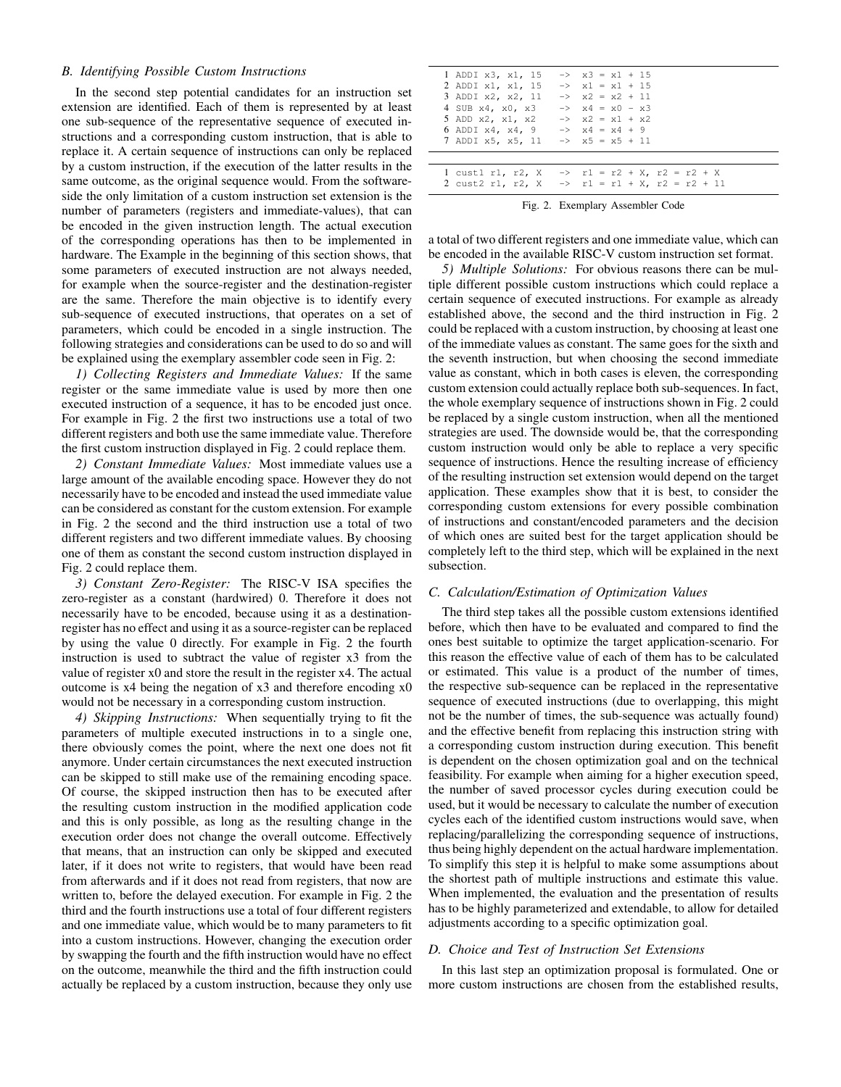## *B. Identifying Possible Custom Instructions*

In the second step potential candidates for an instruction set extension are identified. Each of them is represented by at least one sub-sequence of the representative sequence of executed instructions and a corresponding custom instruction, that is able to replace it. A certain sequence of instructions can only be replaced by a custom instruction, if the execution of the latter results in the same outcome, as the original sequence would. From the softwareside the only limitation of a custom instruction set extension is the number of parameters (registers and immediate-values), that can be encoded in the given instruction length. The actual execution of the corresponding operations has then to be implemented in hardware. The Example in the beginning of this section shows, that some parameters of executed instruction are not always needed, for example when the source-register and the destination-register are the same. Therefore the main objective is to identify every sub-sequence of executed instructions, that operates on a set of parameters, which could be encoded in a single instruction. The following strategies and considerations can be used to do so and will be explained using the exemplary assembler code seen in Fig. 2:

*1) Collecting Registers and Immediate Values:* If the same register or the same immediate value is used by more then one executed instruction of a sequence, it has to be encoded just once. For example in Fig. 2 the first two instructions use a total of two different registers and both use the same immediate value. Therefore the first custom instruction displayed in Fig. 2 could replace them.

*2) Constant Immediate Values:* Most immediate values use a large amount of the available encoding space. However they do not necessarily have to be encoded and instead the used immediate value can be considered as constant for the custom extension. For example in Fig. 2 the second and the third instruction use a total of two different registers and two different immediate values. By choosing one of them as constant the second custom instruction displayed in Fig. 2 could replace them.

*3) Constant Zero-Register:* The RISC-V ISA specifies the zero-register as a constant (hardwired) 0. Therefore it does not necessarily have to be encoded, because using it as a destinationregister has no effect and using it as a source-register can be replaced by using the value 0 directly. For example in Fig. 2 the fourth instruction is used to subtract the value of register x3 from the value of register x0 and store the result in the register x4. The actual outcome is x4 being the negation of x3 and therefore encoding x0 would not be necessary in a corresponding custom instruction.

*4) Skipping Instructions:* When sequentially trying to fit the parameters of multiple executed instructions in to a single one, there obviously comes the point, where the next one does not fit anymore. Under certain circumstances the next executed instruction can be skipped to still make use of the remaining encoding space. Of course, the skipped instruction then has to be executed after the resulting custom instruction in the modified application code and this is only possible, as long as the resulting change in the execution order does not change the overall outcome. Effectively that means, that an instruction can only be skipped and executed later, if it does not write to registers, that would have been read from afterwards and if it does not read from registers, that now are written to, before the delayed execution. For example in Fig. 2 the third and the fourth instructions use a total of four different registers and one immediate value, which would be to many parameters to fit into a custom instructions. However, changing the execution order by swapping the fourth and the fifth instruction would have no effect on the outcome, meanwhile the third and the fifth instruction could actually be replaced by a custom instruction, because they only use

| 1 ADDI x3, x1, 15<br>2 ADDI x1, x1, 15<br>3 ADDI x2, x2, 11<br>4 SUB x4, x0, x3<br>5 ADD x2, x1, x2<br>6 ADDI $x4$ , $x4$ , $9$<br>7 ADDI x5, x5, 11 | $\Rightarrow$ $x3 = x1 + 15$<br>$\Rightarrow$ $x1 = x1 + 15$<br>$\Rightarrow$ x2 = x2 + 11<br>$\Rightarrow$ $x4 = x0 - x3$<br>$\Rightarrow$ x2 = x1 + x2<br>$\Rightarrow$ $x4 = x4 + 9$<br>$-$ > $\times$ 5 = $\times$ 5 + 11 |  |
|------------------------------------------------------------------------------------------------------------------------------------------------------|-------------------------------------------------------------------------------------------------------------------------------------------------------------------------------------------------------------------------------|--|
|                                                                                                                                                      |                                                                                                                                                                                                                               |  |
| $l$ cust1 r1, r2, X<br>2 cust2 r1, r2, X                                                                                                             | $\Rightarrow$ r1 = r2 + X, r2 = r2 + X<br>$\Rightarrow$ r1 = r1 + X, r2 = r2 + 11                                                                                                                                             |  |
|                                                                                                                                                      |                                                                                                                                                                                                                               |  |

Fig. 2. Exemplary Assembler Code

a total of two different registers and one immediate value, which can be encoded in the available RISC-V custom instruction set format.

*5) Multiple Solutions:* For obvious reasons there can be multiple different possible custom instructions which could replace a certain sequence of executed instructions. For example as already established above, the second and the third instruction in Fig. 2 could be replaced with a custom instruction, by choosing at least one of the immediate values as constant. The same goes for the sixth and the seventh instruction, but when choosing the second immediate value as constant, which in both cases is eleven, the corresponding custom extension could actually replace both sub-sequences. In fact, the whole exemplary sequence of instructions shown in Fig. 2 could be replaced by a single custom instruction, when all the mentioned strategies are used. The downside would be, that the corresponding custom instruction would only be able to replace a very specific sequence of instructions. Hence the resulting increase of efficiency of the resulting instruction set extension would depend on the target application. These examples show that it is best, to consider the corresponding custom extensions for every possible combination of instructions and constant/encoded parameters and the decision of which ones are suited best for the target application should be completely left to the third step, which will be explained in the next subsection.

## *C. Calculation/Estimation of Optimization Values*

The third step takes all the possible custom extensions identified before, which then have to be evaluated and compared to find the ones best suitable to optimize the target application-scenario. For this reason the effective value of each of them has to be calculated or estimated. This value is a product of the number of times, the respective sub-sequence can be replaced in the representative sequence of executed instructions (due to overlapping, this might not be the number of times, the sub-sequence was actually found) and the effective benefit from replacing this instruction string with a corresponding custom instruction during execution. This benefit is dependent on the chosen optimization goal and on the technical feasibility. For example when aiming for a higher execution speed, the number of saved processor cycles during execution could be used, but it would be necessary to calculate the number of execution cycles each of the identified custom instructions would save, when replacing/parallelizing the corresponding sequence of instructions, thus being highly dependent on the actual hardware implementation. To simplify this step it is helpful to make some assumptions about the shortest path of multiple instructions and estimate this value. When implemented, the evaluation and the presentation of results has to be highly parameterized and extendable, to allow for detailed adjustments according to a specific optimization goal.

# *D. Choice and Test of Instruction Set Extensions*

In this last step an optimization proposal is formulated. One or more custom instructions are chosen from the established results,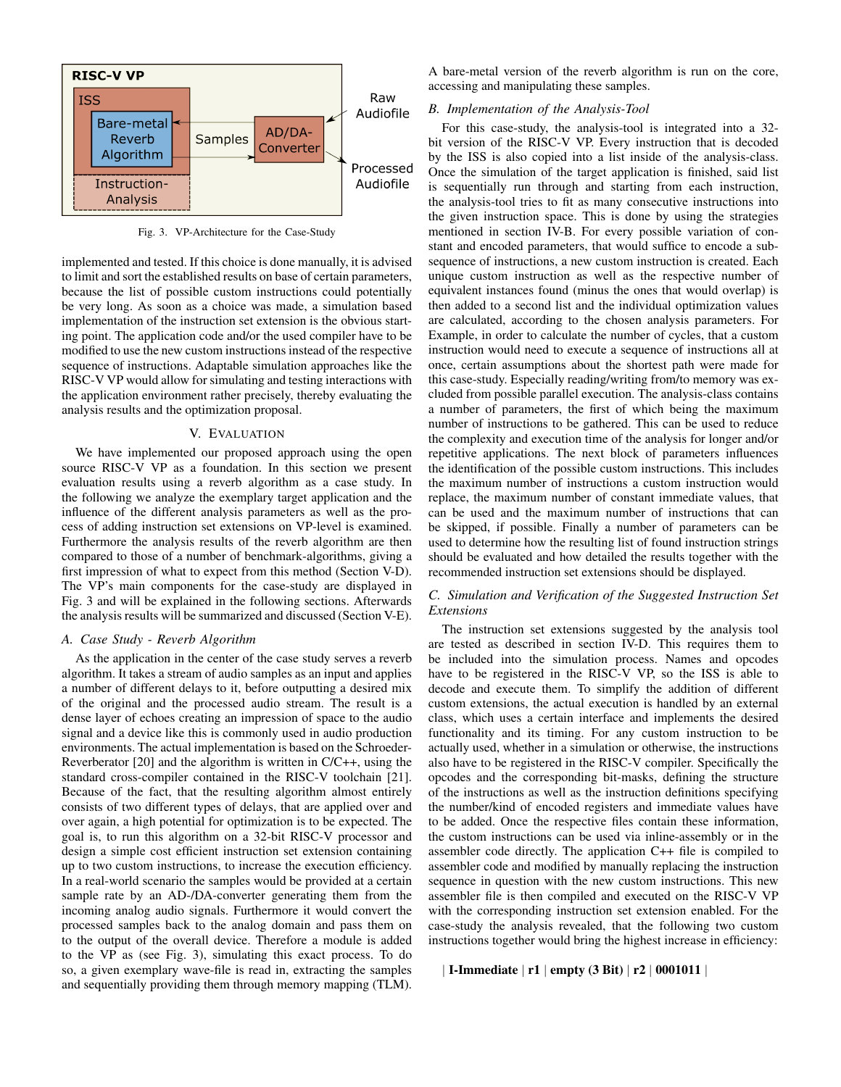

Fig. 3. VP-Architecture for the Case-Study

implemented and tested. If this choice is done manually, it is advised to limit and sort the established results on base of certain parameters, because the list of possible custom instructions could potentially be very long. As soon as a choice was made, a simulation based implementation of the instruction set extension is the obvious starting point. The application code and/or the used compiler have to be modified to use the new custom instructions instead of the respective sequence of instructions. Adaptable simulation approaches like the RISC-V VP would allow for simulating and testing interactions with the application environment rather precisely, thereby evaluating the analysis results and the optimization proposal.

#### V. EVALUATION

We have implemented our proposed approach using the open source RISC-V VP as a foundation. In this section we present evaluation results using a reverb algorithm as a case study. In the following we analyze the exemplary target application and the influence of the different analysis parameters as well as the process of adding instruction set extensions on VP-level is examined. Furthermore the analysis results of the reverb algorithm are then compared to those of a number of benchmark-algorithms, giving a first impression of what to expect from this method (Section V-D). The VP's main components for the case-study are displayed in Fig. 3 and will be explained in the following sections. Afterwards the analysis results will be summarized and discussed (Section V-E).

## *A. Case Study - Reverb Algorithm*

As the application in the center of the case study serves a reverb algorithm. It takes a stream of audio samples as an input and applies a number of different delays to it, before outputting a desired mix of the original and the processed audio stream. The result is a dense layer of echoes creating an impression of space to the audio signal and a device like this is commonly used in audio production environments. The actual implementation is based on the Schroeder-Reverberator [20] and the algorithm is written in C/C++, using the standard cross-compiler contained in the RISC-V toolchain [21]. Because of the fact, that the resulting algorithm almost entirely consists of two different types of delays, that are applied over and over again, a high potential for optimization is to be expected. The goal is, to run this algorithm on a 32-bit RISC-V processor and design a simple cost efficient instruction set extension containing up to two custom instructions, to increase the execution efficiency. In a real-world scenario the samples would be provided at a certain sample rate by an AD-/DA-converter generating them from the incoming analog audio signals. Furthermore it would convert the processed samples back to the analog domain and pass them on to the output of the overall device. Therefore a module is added to the VP as (see Fig. 3), simulating this exact process. To do so, a given exemplary wave-file is read in, extracting the samples and sequentially providing them through memory mapping (TLM).

A bare-metal version of the reverb algorithm is run on the core, accessing and manipulating these samples.

# *B. Implementation of the Analysis-Tool*

For this case-study, the analysis-tool is integrated into a 32 bit version of the RISC-V VP. Every instruction that is decoded by the ISS is also copied into a list inside of the analysis-class. Once the simulation of the target application is finished, said list is sequentially run through and starting from each instruction, the analysis-tool tries to fit as many consecutive instructions into the given instruction space. This is done by using the strategies mentioned in section IV-B. For every possible variation of constant and encoded parameters, that would suffice to encode a subsequence of instructions, a new custom instruction is created. Each unique custom instruction as well as the respective number of equivalent instances found (minus the ones that would overlap) is then added to a second list and the individual optimization values are calculated, according to the chosen analysis parameters. For Example, in order to calculate the number of cycles, that a custom instruction would need to execute a sequence of instructions all at once, certain assumptions about the shortest path were made for this case-study. Especially reading/writing from/to memory was excluded from possible parallel execution. The analysis-class contains a number of parameters, the first of which being the maximum number of instructions to be gathered. This can be used to reduce the complexity and execution time of the analysis for longer and/or repetitive applications. The next block of parameters influences the identification of the possible custom instructions. This includes the maximum number of instructions a custom instruction would replace, the maximum number of constant immediate values, that can be used and the maximum number of instructions that can be skipped, if possible. Finally a number of parameters can be used to determine how the resulting list of found instruction strings should be evaluated and how detailed the results together with the recommended instruction set extensions should be displayed.

# *C. Simulation and Verification of the Suggested Instruction Set Extensions*

The instruction set extensions suggested by the analysis tool are tested as described in section IV-D. This requires them to be included into the simulation process. Names and opcodes have to be registered in the RISC-V VP, so the ISS is able to decode and execute them. To simplify the addition of different custom extensions, the actual execution is handled by an external class, which uses a certain interface and implements the desired functionality and its timing. For any custom instruction to be actually used, whether in a simulation or otherwise, the instructions also have to be registered in the RISC-V compiler. Specifically the opcodes and the corresponding bit-masks, defining the structure of the instructions as well as the instruction definitions specifying the number/kind of encoded registers and immediate values have to be added. Once the respective files contain these information, the custom instructions can be used via inline-assembly or in the assembler code directly. The application C++ file is compiled to assembler code and modified by manually replacing the instruction sequence in question with the new custom instructions. This new assembler file is then compiled and executed on the RISC-V VP with the corresponding instruction set extension enabled. For the case-study the analysis revealed, that the following two custom instructions together would bring the highest increase in efficiency:

## | I-Immediate | r1 | empty (3 Bit) | r2 | 0001011 |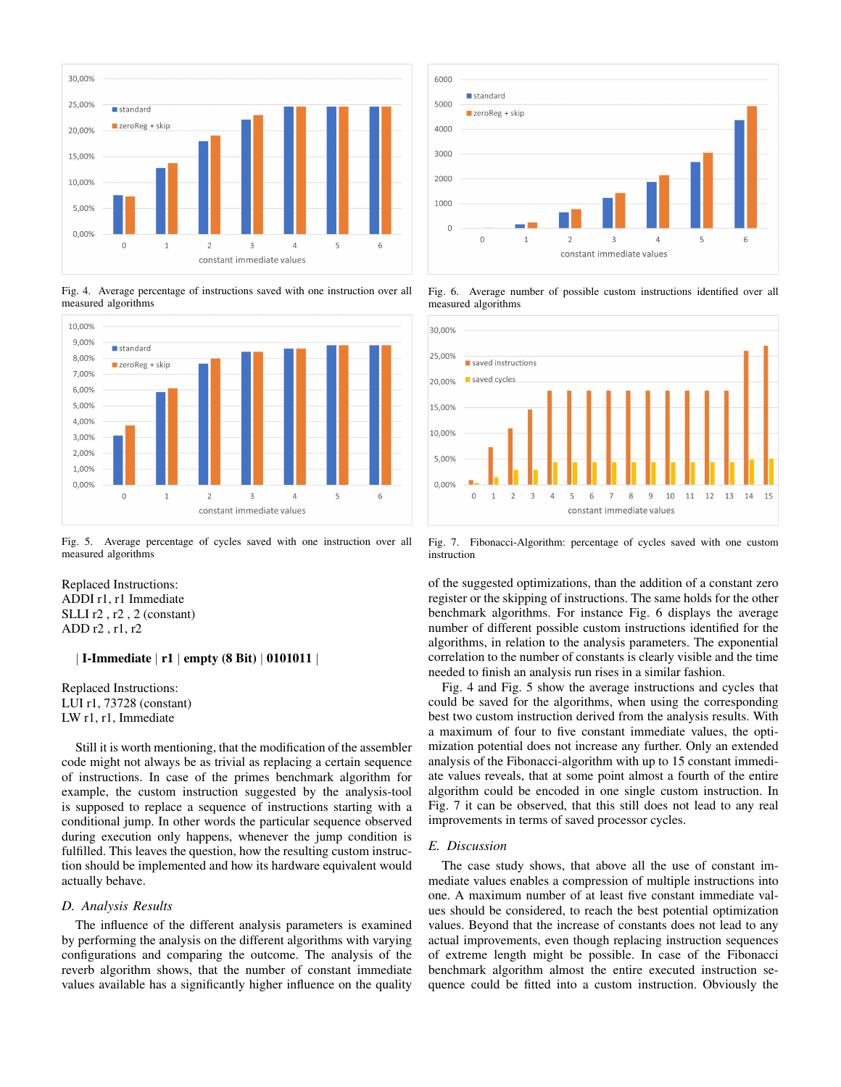

Fig. 4. Average percentage of instructions saved with one instruction over all measured algorithms



Fig. 5. Average percentage of cycles saved with one instruction over all measured algorithms

Replaced Instructions: ADDI r1, r1 Immediate SLLI r2 , r2 , 2 (constant) ADD r2 , r1, r2

# | I-Immediate | r1 | empty (8 Bit) | 0101011 |

Replaced Instructions: LUI r1, 73728 (constant) LW r1, r1, Immediate

Still it is worth mentioning, that the modification of the assembler code might not always be as trivial as replacing a certain sequence of instructions. In case of the primes benchmark algorithm for example, the custom instruction suggested by the analysis-tool is supposed to replace a sequence of instructions starting with a conditional jump. In other words the particular sequence observed during execution only happens, whenever the jump condition is fulfilled. This leaves the question, how the resulting custom instruction should be implemented and how its hardware equivalent would actually behave.

## *D. Analysis Results*

The influence of the different analysis parameters is examined by performing the analysis on the different algorithms with varying configurations and comparing the outcome. The analysis of the reverb algorithm shows, that the number of constant immediate values available has a significantly higher influence on the quality



Fig. 6. Average number of possible custom instructions identified over all measured algorithms



Fig. 7. Fibonacci-Algorithm: percentage of cycles saved with one custom instruction

of the suggested optimizations, than the addition of a constant zero register or the skipping of instructions. The same holds for the other benchmark algorithms. For instance Fig. 6 displays the average number of different possible custom instructions identified for the algorithms, in relation to the analysis parameters. The exponential correlation to the number of constants is clearly visible and the time needed to finish an analysis run rises in a similar fashion.

Fig. 4 and Fig. 5 show the average instructions and cycles that could be saved for the algorithms, when using the corresponding best two custom instruction derived from the analysis results. With a maximum of four to five constant immediate values, the optimization potential does not increase any further. Only an extended analysis of the Fibonacci-algorithm with up to 15 constant immediate values reveals, that at some point almost a fourth of the entire algorithm could be encoded in one single custom instruction. In Fig. 7 it can be observed, that this still does not lead to any real improvements in terms of saved processor cycles.

## *E. Discussion*

The case study shows, that above all the use of constant immediate values enables a compression of multiple instructions into one. A maximum number of at least five constant immediate values should be considered, to reach the best potential optimization values. Beyond that the increase of constants does not lead to any actual improvements, even though replacing instruction sequences of extreme length might be possible. In case of the Fibonacci benchmark algorithm almost the entire executed instruction sequence could be fitted into a custom instruction. Obviously the